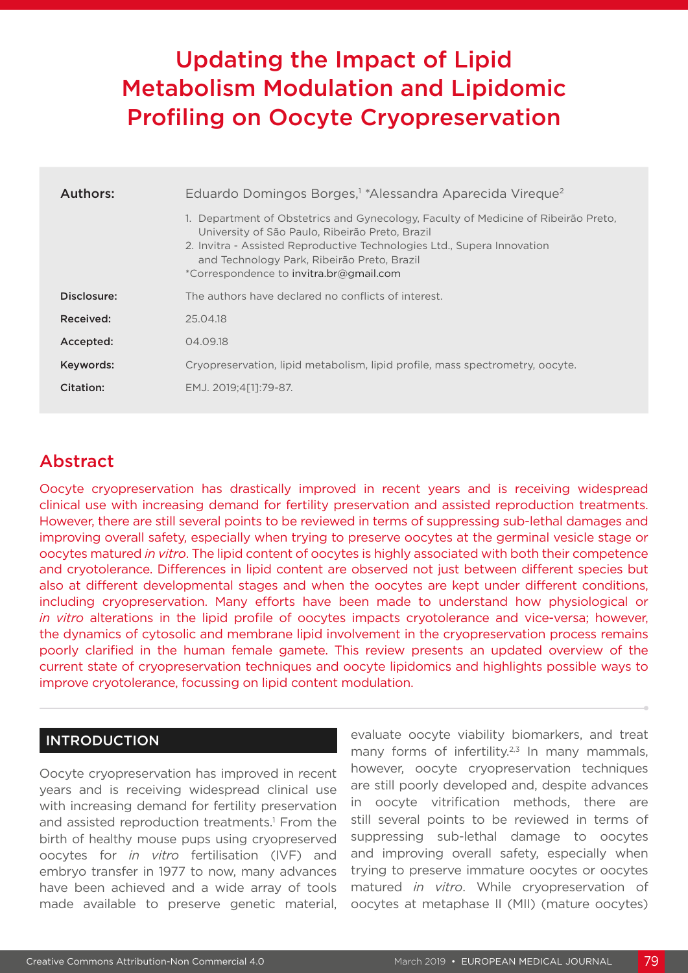# Updating the Impact of Lipid Metabolism Modulation and Lipidomic Profiling on Oocyte Cryopreservation

| Authors:    | Eduardo Domingos Borges, <sup>1</sup> *Alessandra Aparecida Vireque <sup>2</sup>                                                                                                                                                                                                                           |
|-------------|------------------------------------------------------------------------------------------------------------------------------------------------------------------------------------------------------------------------------------------------------------------------------------------------------------|
|             | 1. Department of Obstetrics and Gynecology, Faculty of Medicine of Ribeirão Preto,<br>University of São Paulo, Ribeirão Preto, Brazil<br>2. Invitra - Assisted Reproductive Technologies Ltd., Supera Innovation<br>and Technology Park, Ribeirão Preto, Brazil<br>*Correspondence to invitra.br@gmail.com |
| Disclosure: | The authors have declared no conflicts of interest.                                                                                                                                                                                                                                                        |
| Received:   | 25.04.18                                                                                                                                                                                                                                                                                                   |
| Accepted:   | 04.09.18                                                                                                                                                                                                                                                                                                   |
| Keywords:   | Cryopreservation, lipid metabolism, lipid profile, mass spectrometry, oocyte.                                                                                                                                                                                                                              |
| Citation:   | EMJ. 2019:4[11:79-87.                                                                                                                                                                                                                                                                                      |

# Abstract

Oocyte cryopreservation has drastically improved in recent years and is receiving widespread clinical use with increasing demand for fertility preservation and assisted reproduction treatments. However, there are still several points to be reviewed in terms of suppressing sub-lethal damages and improving overall safety, especially when trying to preserve oocytes at the germinal vesicle stage or oocytes matured *in vitro*. The lipid content of oocytes is highly associated with both their competence and cryotolerance. Differences in lipid content are observed not just between different species but also at different developmental stages and when the oocytes are kept under different conditions, including cryopreservation. Many efforts have been made to understand how physiological or *in vitro* alterations in the lipid profile of oocytes impacts cryotolerance and vice-versa; however, the dynamics of cytosolic and membrane lipid involvement in the cryopreservation process remains poorly clarified in the human female gamete. This review presents an updated overview of the current state of cryopreservation techniques and oocyte lipidomics and highlights possible ways to improve cryotolerance, focussing on lipid content modulation.

#### INTRODUCTION

Oocyte cryopreservation has improved in recent years and is receiving widespread clinical use with increasing demand for fertility preservation and assisted reproduction treatments.<sup>1</sup> From the birth of healthy mouse pups using cryopreserved oocytes for *in vitro* fertilisation (IVF) and embryo transfer in 1977 to now, many advances have been achieved and a wide array of tools made available to preserve genetic material,

evaluate oocyte viability biomarkers, and treat many forms of infertility. $2,3$  In many mammals, however, oocyte cryopreservation techniques are still poorly developed and, despite advances in oocyte vitrification methods, there are still several points to be reviewed in terms of suppressing sub-lethal damage to oocytes and improving overall safety, especially when trying to preserve immature oocytes or oocytes matured *in vitro*. While cryopreservation of oocytes at metaphase II (MII) (mature oocytes)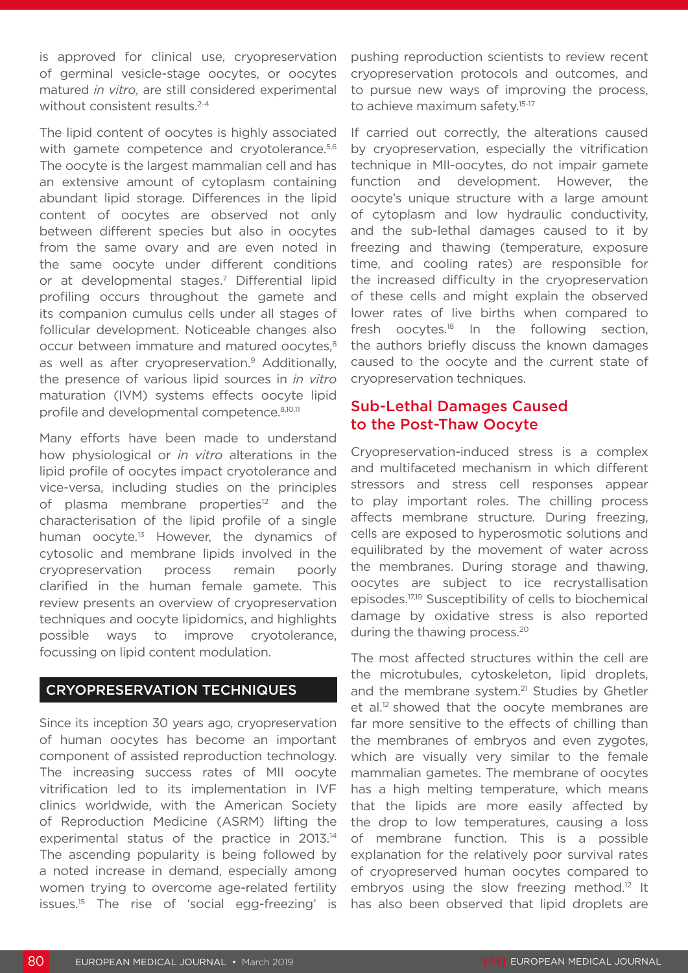is approved for clinical use, cryopreservation of germinal vesicle-stage oocytes, or oocytes matured *in vitro*, are still considered experimental without consistent results.<sup>2-4</sup>

The lipid content of oocytes is highly associated with gamete competence and cryotolerance.<sup>5,6</sup> The oocyte is the largest mammalian cell and has an extensive amount of cytoplasm containing abundant lipid storage. Differences in the lipid content of oocytes are observed not only between different species but also in oocytes from the same ovary and are even noted in the same oocyte under different conditions or at developmental stages.7 Differential lipid profiling occurs throughout the gamete and its companion cumulus cells under all stages of follicular development. Noticeable changes also occur between immature and matured oocytes,<sup>8</sup> as well as after cryopreservation.<sup>9</sup> Additionally, the presence of various lipid sources in *in vitro*  maturation (IVM) systems effects oocyte lipid profile and developmental competence.8,10,11

Many efforts have been made to understand how physiological or *in vitro* alterations in the lipid profile of oocytes impact cryotolerance and vice-versa, including studies on the principles of plasma membrane properties<sup>12</sup> and the characterisation of the lipid profile of a single human oocyte.<sup>13</sup> However, the dynamics of cytosolic and membrane lipids involved in the cryopreservation process remain poorly clarified in the human female gamete. This review presents an overview of cryopreservation techniques and oocyte lipidomics, and highlights possible ways to improve cryotolerance, focussing on lipid content modulation.

#### CRYOPRESERVATION TECHNIQUES

Since its inception 30 years ago, cryopreservation of human oocytes has become an important component of assisted reproduction technology. The increasing success rates of MII oocyte vitrification led to its implementation in IVF clinics worldwide, with the American Society of Reproduction Medicine (ASRM) lifting the experimental status of the practice in 2013.14 The ascending popularity is being followed by a noted increase in demand, especially among women trying to overcome age-related fertility issues.15 The rise of 'social egg-freezing' is

pushing reproduction scientists to review recent cryopreservation protocols and outcomes, and to pursue new ways of improving the process, to achieve maximum safety.<sup>15-17</sup>

If carried out correctly, the alterations caused by cryopreservation, especially the vitrification technique in MII-oocytes, do not impair gamete function and development. However, the oocyte's unique structure with a large amount of cytoplasm and low hydraulic conductivity, and the sub-lethal damages caused to it by freezing and thawing (temperature, exposure time, and cooling rates) are responsible for the increased difficulty in the cryopreservation of these cells and might explain the observed lower rates of live births when compared to fresh oocytes.<sup>18</sup> In the following section, the authors briefly discuss the known damages caused to the oocyte and the current state of cryopreservation techniques.

### Sub-Lethal Damages Caused to the Post-Thaw Oocyte

Cryopreservation-induced stress is a complex and multifaceted mechanism in which different stressors and stress cell responses appear to play important roles. The chilling process affects membrane structure. During freezing, cells are exposed to hyperosmotic solutions and equilibrated by the movement of water across the membranes. During storage and thawing, oocytes are subject to ice recrystallisation episodes.17,19 Susceptibility of cells to biochemical damage by oxidative stress is also reported during the thawing process.<sup>20</sup>

The most affected structures within the cell are the microtubules, cytoskeleton, lipid droplets, and the membrane system.<sup>21</sup> Studies by Ghetler et al.<sup>12</sup> showed that the oocyte membranes are far more sensitive to the effects of chilling than the membranes of embryos and even zygotes, which are visually very similar to the female mammalian gametes. The membrane of oocytes has a high melting temperature, which means that the lipids are more easily affected by the drop to low temperatures, causing a loss of membrane function. This is a possible explanation for the relatively poor survival rates of cryopreserved human oocytes compared to embryos using the slow freezing method.12 It has also been observed that lipid droplets are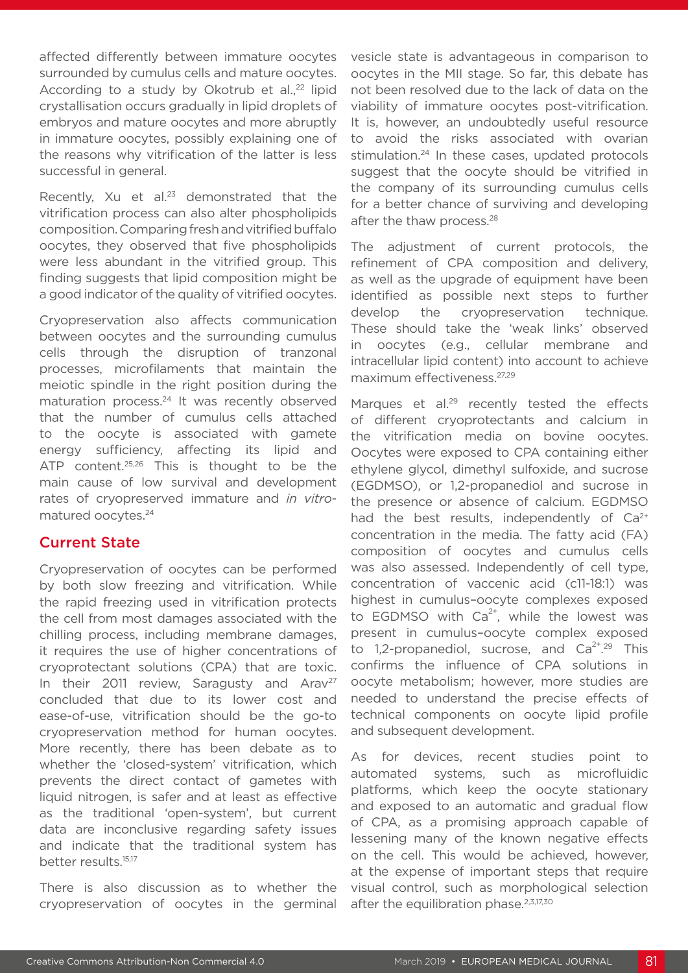affected differently between immature oocytes surrounded by cumulus cells and mature oocytes. According to a study by Okotrub et al.,<sup>22</sup> lipid crystallisation occurs gradually in lipid droplets of embryos and mature oocytes and more abruptly in immature oocytes, possibly explaining one of the reasons why vitrification of the latter is less successful in general.

Recently, Xu et al.<sup>23</sup> demonstrated that the vitrification process can also alter phospholipids composition. Comparing fresh and vitrified buffalo oocytes, they observed that five phospholipids were less abundant in the vitrified group. This finding suggests that lipid composition might be a good indicator of the quality of vitrified oocytes.

Cryopreservation also affects communication between oocytes and the surrounding cumulus cells through the disruption of tranzonal processes, microfilaments that maintain the meiotic spindle in the right position during the maturation process.24 It was recently observed that the number of cumulus cells attached to the oocyte is associated with gamete energy sufficiency, affecting its lipid and ATP content.<sup>25,26</sup> This is thought to be the main cause of low survival and development rates of cryopreserved immature and *in vitro*matured oocytes.24

#### Current State

Cryopreservation of oocytes can be performed by both slow freezing and vitrification. While the rapid freezing used in vitrification protects the cell from most damages associated with the chilling process, including membrane damages, it requires the use of higher concentrations of cryoprotectant solutions (CPA) that are toxic. In their 2011 review, Saragusty and Arav<sup>27</sup> concluded that due to its lower cost and ease-of-use, vitrification should be the go-to cryopreservation method for human oocytes. More recently, there has been debate as to whether the 'closed-system' vitrification, which prevents the direct contact of gametes with liquid nitrogen, is safer and at least as effective as the traditional 'open-system', but current data are inconclusive regarding safety issues and indicate that the traditional system has better results.<sup>15,17</sup>

There is also discussion as to whether the cryopreservation of oocytes in the germinal vesicle state is advantageous in comparison to oocytes in the MII stage. So far, this debate has not been resolved due to the lack of data on the viability of immature oocytes post-vitrification. It is, however, an undoubtedly useful resource to avoid the risks associated with ovarian stimulation.<sup>24</sup> In these cases, updated protocols suggest that the oocyte should be vitrified in the company of its surrounding cumulus cells for a better chance of surviving and developing after the thaw process.<sup>28</sup>

The adjustment of current protocols, the refinement of CPA composition and delivery, as well as the upgrade of equipment have been identified as possible next steps to further develop the cryopreservation technique. These should take the 'weak links' observed in oocytes (e.g., cellular membrane and intracellular lipid content) into account to achieve maximum effectiveness.27,29

Marques et al.<sup>29</sup> recently tested the effects of different cryoprotectants and calcium in the vitrification media on bovine oocytes. Oocytes were exposed to CPA containing either ethylene glycol, dimethyl sulfoxide, and sucrose (EGDMSO), or 1,2-propanediol and sucrose in the presence or absence of calcium. EGDMSO had the best results, independently of Ca<sup>2+</sup> concentration in the media. The fatty acid (FA) composition of oocytes and cumulus cells was also assessed. Independently of cell type, concentration of vaccenic acid (c11-18:1) was highest in cumulus–oocyte complexes exposed to EGDMSO with  $Ca^{2+}$ , while the lowest was present in cumulus–oocyte complex exposed to 1,2-propanediol, sucrose, and  $Ca^{2+},29$  This confirms the influence of CPA solutions in oocyte metabolism; however, more studies are needed to understand the precise effects of technical components on oocyte lipid profile and subsequent development.

As for devices, recent studies point to automated systems, such as microfluidic platforms, which keep the oocyte stationary and exposed to an automatic and gradual flow of CPA, as a promising approach capable of lessening many of the known negative effects on the cell. This would be achieved, however, at the expense of important steps that require visual control, such as morphological selection after the equilibration phase. $2,3,17,30$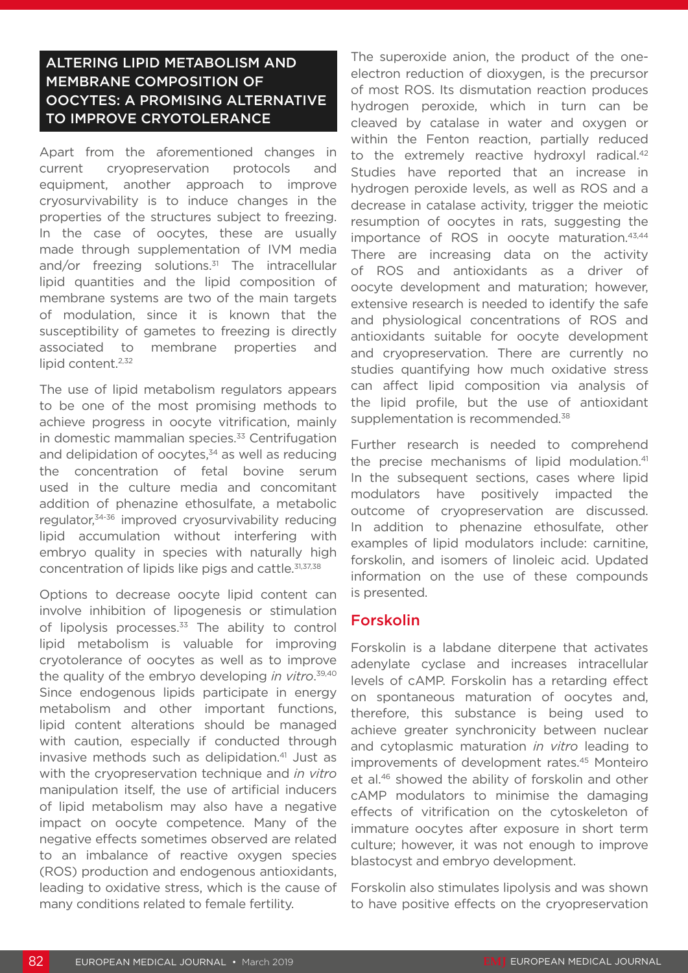## ALTERING LIPID METABOLISM AND MEMBRANE COMPOSITION OF OOCYTES: A PROMISING ALTERNATIVE TO IMPROVE CRYOTOLERANCE

Apart from the aforementioned changes in current cryopreservation protocols and equipment, another approach to improve cryosurvivability is to induce changes in the properties of the structures subject to freezing. In the case of oocytes, these are usually made through supplementation of IVM media and/or freezing solutions.<sup>31</sup> The intracellular lipid quantities and the lipid composition of membrane systems are two of the main targets of modulation, since it is known that the susceptibility of gametes to freezing is directly associated to membrane properties and lipid content.<sup>2,32</sup>

The use of lipid metabolism regulators appears to be one of the most promising methods to achieve progress in oocyte vitrification, mainly in domestic mammalian species.<sup>33</sup> Centrifugation and delipidation of oocytes, $34$  as well as reducing the concentration of fetal bovine serum used in the culture media and concomitant addition of phenazine ethosulfate, a metabolic regulator,34-36 improved cryosurvivability reducing lipid accumulation without interfering with embryo quality in species with naturally high concentration of lipids like pigs and cattle.31,37,38

Options to decrease oocyte lipid content can involve inhibition of lipogenesis or stimulation of lipolysis processes. $33$  The ability to control lipid metabolism is valuable for improving cryotolerance of oocytes as well as to improve the quality of the embryo developing *in vitro*. 39,40 Since endogenous lipids participate in energy metabolism and other important functions, lipid content alterations should be managed with caution, especially if conducted through invasive methods such as delipidation.<sup>41</sup> Just as with the cryopreservation technique and *in vitro*  manipulation itself, the use of artificial inducers of lipid metabolism may also have a negative impact on oocyte competence. Many of the negative effects sometimes observed are related to an imbalance of reactive oxygen species (ROS) production and endogenous antioxidants, leading to oxidative stress, which is the cause of many conditions related to female fertility.

The superoxide anion, the product of the oneelectron reduction of dioxygen, is the precursor of most ROS. Its dismutation reaction produces hydrogen peroxide, which in turn can be cleaved by catalase in water and oxygen or within the Fenton reaction, partially reduced to the extremely reactive hydroxyl radical.<sup>42</sup> Studies have reported that an increase in hydrogen peroxide levels, as well as ROS and a decrease in catalase activity, trigger the meiotic resumption of oocytes in rats, suggesting the importance of ROS in oocyte maturation.43,44 There are increasing data on the activity of ROS and antioxidants as a driver of oocyte development and maturation; however, extensive research is needed to identify the safe and physiological concentrations of ROS and antioxidants suitable for oocyte development and cryopreservation. There are currently no studies quantifying how much oxidative stress can affect lipid composition via analysis of the lipid profile, but the use of antioxidant supplementation is recommended.<sup>38</sup>

Further research is needed to comprehend the precise mechanisms of lipid modulation.<sup>41</sup> In the subsequent sections, cases where lipid modulators have positively impacted the outcome of cryopreservation are discussed. In addition to phenazine ethosulfate, other examples of lipid modulators include: carnitine, forskolin, and isomers of linoleic acid. Updated information on the use of these compounds is presented.

#### Forskolin

Forskolin is a labdane diterpene that activates adenylate cyclase and increases intracellular levels of cAMP. Forskolin has a retarding effect on spontaneous maturation of oocytes and, therefore, this substance is being used to achieve greater synchronicity between nuclear and cytoplasmic maturation *in vitro* leading to improvements of development rates.<sup>45</sup> Monteiro et al.<sup>46</sup> showed the ability of forskolin and other cAMP modulators to minimise the damaging effects of vitrification on the cytoskeleton of immature oocytes after exposure in short term culture; however, it was not enough to improve blastocyst and embryo development.

Forskolin also stimulates lipolysis and was shown to have positive effects on the cryopreservation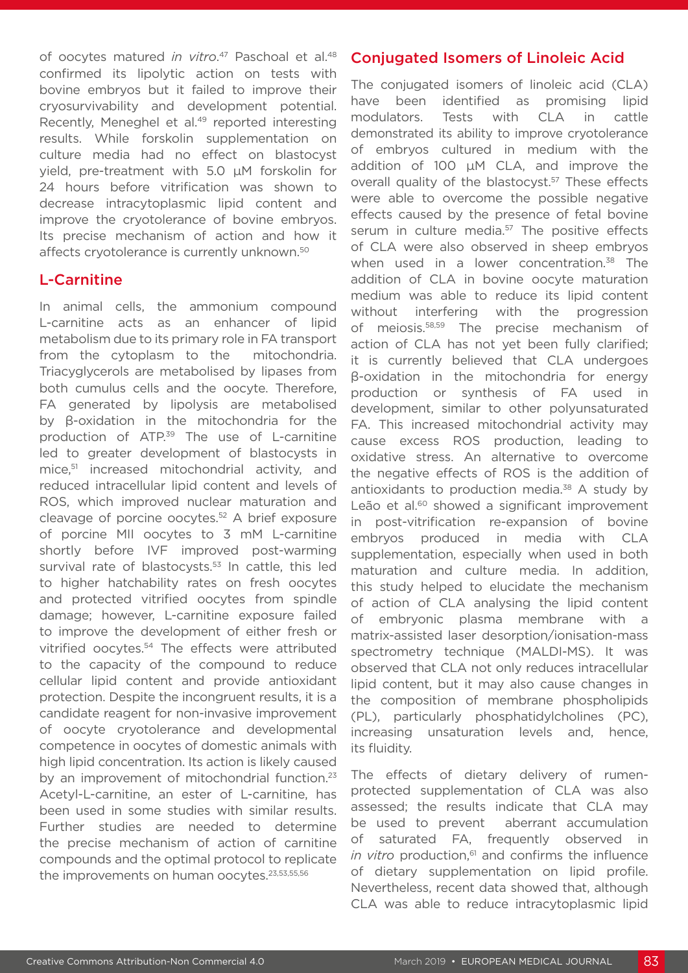of oocytes matured *in vitro*. 47 Paschoal et al.48 confirmed its lipolytic action on tests with bovine embryos but it failed to improve their cryosurvivability and development potential. Recently, Meneghel et al.<sup>49</sup> reported interesting results. While forskolin supplementation on culture media had no effect on blastocyst yield, pre-treatment with 5.0 µM forskolin for 24 hours before vitrification was shown to decrease intracytoplasmic lipid content and improve the cryotolerance of bovine embryos. Its precise mechanism of action and how it affects cryotolerance is currently unknown.<sup>50</sup>

#### L-Carnitine

In animal cells, the ammonium compound L-carnitine acts as an enhancer of lipid metabolism due to its primary role in FA transport from the cytoplasm to the mitochondria. Triacyglycerols are metabolised by lipases from both cumulus cells and the oocyte. Therefore, FA generated by lipolysis are metabolised by β-oxidation in the mitochondria for the production of ATP.39 The use of L-carnitine led to greater development of blastocysts in mice,51 increased mitochondrial activity, and reduced intracellular lipid content and levels of ROS, which improved nuclear maturation and cleavage of porcine oocytes.<sup>52</sup> A brief exposure of porcine MII oocytes to 3 mM L-carnitine shortly before IVF improved post-warming survival rate of blastocysts.<sup>53</sup> In cattle, this led to higher hatchability rates on fresh oocytes and protected vitrified oocytes from spindle damage; however, L-carnitine exposure failed to improve the development of either fresh or vitrified oocytes.54 The effects were attributed to the capacity of the compound to reduce cellular lipid content and provide antioxidant protection. Despite the incongruent results, it is a candidate reagent for non-invasive improvement of oocyte cryotolerance and developmental competence in oocytes of domestic animals with high lipid concentration. Its action is likely caused by an improvement of mitochondrial function.<sup>23</sup> Acetyl-L-carnitine, an ester of L-carnitine, has been used in some studies with similar results. Further studies are needed to determine the precise mechanism of action of carnitine compounds and the optimal protocol to replicate the improvements on human oocytes.<sup>23,53,55,56</sup>

# Conjugated Isomers of Linoleic Acid

The conjugated isomers of linoleic acid (CLA) have been identified as promising lipid modulators. Tests with CLA in cattle demonstrated its ability to improve cryotolerance of embryos cultured in medium with the addition of 100 µM CLA, and improve the overall quality of the blastocyst.<sup>57</sup> These effects were able to overcome the possible negative effects caused by the presence of fetal bovine serum in culture media.<sup>57</sup> The positive effects of CLA were also observed in sheep embryos when used in a lower concentration.<sup>38</sup> The addition of CLA in bovine oocyte maturation medium was able to reduce its lipid content without interfering with the progression of meiosis.58,59 The precise mechanism of action of CLA has not yet been fully clarified; it is currently believed that CLA undergoes β-oxidation in the mitochondria for energy production or synthesis of FA used in development, similar to other polyunsaturated FA. This increased mitochondrial activity may cause excess ROS production, leading to oxidative stress. An alternative to overcome the negative effects of ROS is the addition of antioxidants to production media.<sup>38</sup> A study by Leão et al.<sup>60</sup> showed a significant improvement in post-vitrification re-expansion of bovine embryos produced in media with CLA supplementation, especially when used in both maturation and culture media. In addition, this study helped to elucidate the mechanism of action of CLA analysing the lipid content of embryonic plasma membrane with a matrix-assisted laser desorption/ionisation-mass spectrometry technique (MALDI-MS). It was observed that CLA not only reduces intracellular lipid content, but it may also cause changes in the composition of membrane phospholipids (PL), particularly phosphatidylcholines (PC), increasing unsaturation levels and, hence, its fluidity.

The effects of dietary delivery of rumenprotected supplementation of CLA was also assessed; the results indicate that CLA may be used to prevent aberrant accumulation of saturated FA, frequently observed in *in vitro* production,<sup>61</sup> and confirms the influence of dietary supplementation on lipid profile. Nevertheless, recent data showed that, although CLA was able to reduce intracytoplasmic lipid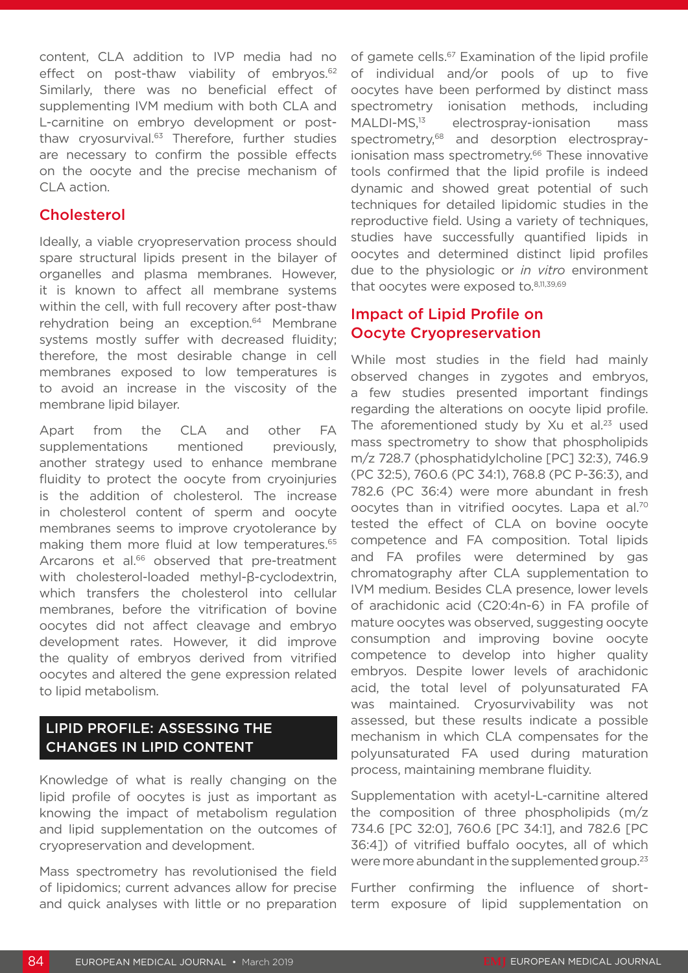content, CLA addition to IVP media had no effect on post-thaw viability of embryos.<sup>62</sup> Similarly, there was no beneficial effect of supplementing IVM medium with both CLA and L-carnitine on embryo development or postthaw cryosurvival. $63$  Therefore, further studies are necessary to confirm the possible effects on the oocyte and the precise mechanism of CLA action.

#### **Cholesterol**

Ideally, a viable cryopreservation process should spare structural lipids present in the bilayer of organelles and plasma membranes. However, it is known to affect all membrane systems within the cell, with full recovery after post-thaw rehydration being an exception.<sup>64</sup> Membrane systems mostly suffer with decreased fluidity; therefore, the most desirable change in cell membranes exposed to low temperatures is to avoid an increase in the viscosity of the membrane lipid bilayer.

Apart from the CLA and other FA supplementations mentioned previously, another strategy used to enhance membrane fluidity to protect the oocyte from cryoinjuries is the addition of cholesterol. The increase in cholesterol content of sperm and oocyte membranes seems to improve cryotolerance by making them more fluid at low temperatures.<sup>65</sup> Arcarons et al.<sup>66</sup> observed that pre-treatment with cholesterol-loaded methyl-β-cyclodextrin, which transfers the cholesterol into cellular membranes, before the vitrification of bovine oocytes did not affect cleavage and embryo development rates. However, it did improve the quality of embryos derived from vitrified oocytes and altered the gene expression related to lipid metabolism.

#### LIPID PROFILE: ASSESSING THE CHANGES IN LIPID CONTENT

Knowledge of what is really changing on the lipid profile of oocytes is just as important as knowing the impact of metabolism regulation and lipid supplementation on the outcomes of cryopreservation and development.

Mass spectrometry has revolutionised the field of lipidomics; current advances allow for precise and quick analyses with little or no preparation

of gamete cells.<sup>67</sup> Examination of the lipid profile of individual and/or pools of up to five oocytes have been performed by distinct mass spectrometry ionisation methods, including MALDI-MS.<sup>13</sup> electrospray-ionisation mass spectrometry,<sup>68</sup> and desorption electrosprayionisation mass spectrometry.<sup>66</sup> These innovative tools confirmed that the lipid profile is indeed dynamic and showed great potential of such techniques for detailed lipidomic studies in the reproductive field. Using a variety of techniques, studies have successfully quantified lipids in oocytes and determined distinct lipid profiles due to the physiologic or *in vitro* environment that oocytes were exposed to.<sup>8,11,39,69</sup>

### Impact of Lipid Profile on Oocyte Cryopreservation

While most studies in the field had mainly observed changes in zygotes and embryos, a few studies presented important findings regarding the alterations on oocyte lipid profile. The aforementioned study by Xu et al.<sup>23</sup> used mass spectrometry to show that phospholipids m/z 728.7 (phosphatidylcholine [PC] 32:3), 746.9 (PC 32:5), 760.6 (PC 34:1), 768.8 (PC P-36:3), and 782.6 (PC 36:4) were more abundant in fresh oocytes than in vitrified oocytes. Lapa et al.70 tested the effect of CLA on bovine oocyte competence and FA composition. Total lipids and FA profiles were determined by gas chromatography after CLA supplementation to IVM medium. Besides CLA presence, lower levels of arachidonic acid (C20:4n-6) in FA profile of mature oocytes was observed, suggesting oocyte consumption and improving bovine oocyte competence to develop into higher quality embryos. Despite lower levels of arachidonic acid, the total level of polyunsaturated FA was maintained. Cryosurvivability was not assessed, but these results indicate a possible mechanism in which CLA compensates for the polyunsaturated FA used during maturation process, maintaining membrane fluidity.

Supplementation with acetyl-L-carnitine altered the composition of three phospholipids (m/z 734.6 [PC 32:0], 760.6 [PC 34:1], and 782.6 [PC 36:4]) of vitrified buffalo oocytes, all of which were more abundant in the supplemented group.<sup>23</sup>

Further confirming the influence of shortterm exposure of lipid supplementation on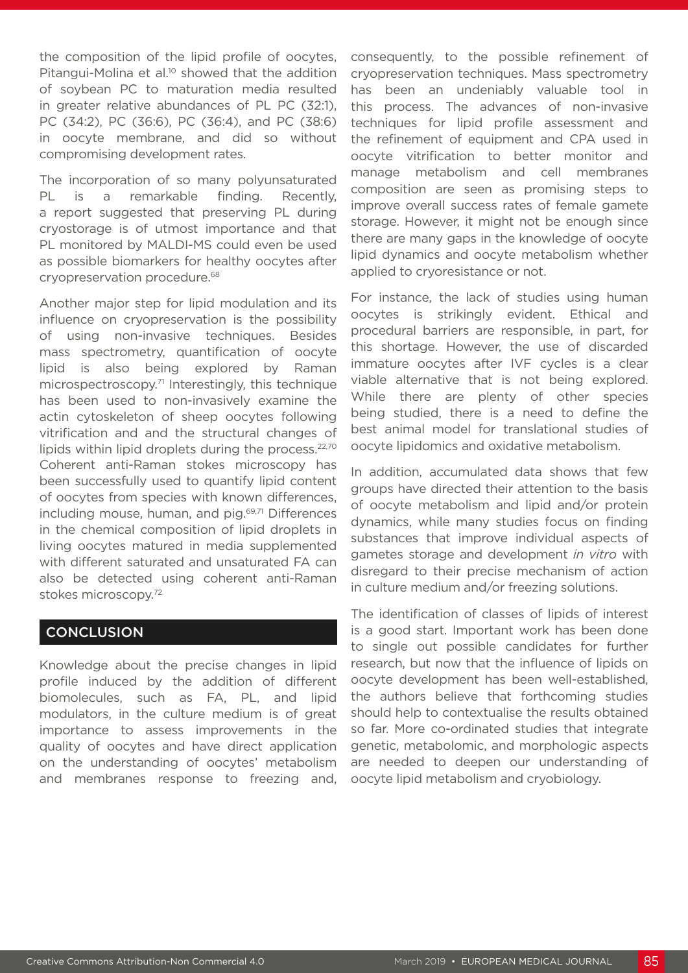the composition of the lipid profile of oocytes, Pitangui-Molina et al.<sup>10</sup> showed that the addition of soybean PC to maturation media resulted in greater relative abundances of PL PC (32:1), PC (34:2), PC (36:6), PC (36:4), and PC (38:6) in oocyte membrane, and did so without compromising development rates.

The incorporation of so many polyunsaturated PL is a remarkable finding. Recently, a report suggested that preserving PL during cryostorage is of utmost importance and that PL monitored by MALDI-MS could even be used as possible biomarkers for healthy oocytes after cryopreservation procedure.68

Another major step for lipid modulation and its influence on cryopreservation is the possibility of using non-invasive techniques. Besides mass spectrometry, quantification of oocyte lipid is also being explored by Raman microspectroscopy.71 Interestingly, this technique has been used to non-invasively examine the actin cytoskeleton of sheep oocytes following vitrification and and the structural changes of lipids within lipid droplets during the process.<sup>22,70</sup> Coherent anti-Raman stokes microscopy has been successfully used to quantify lipid content of oocytes from species with known differences, including mouse, human, and pig.<sup>69,71</sup> Differences in the chemical composition of lipid droplets in living oocytes matured in media supplemented with different saturated and unsaturated FA can also be detected using coherent anti-Raman stokes microscopy.72

#### **CONCLUSION**

Knowledge about the precise changes in lipid profile induced by the addition of different biomolecules, such as FA, PL, and lipid modulators, in the culture medium is of great importance to assess improvements in the quality of oocytes and have direct application on the understanding of oocytes' metabolism and membranes response to freezing and, consequently, to the possible refinement of cryopreservation techniques. Mass spectrometry has been an undeniably valuable tool in this process. The advances of non-invasive techniques for lipid profile assessment and the refinement of equipment and CPA used in oocyte vitrification to better monitor and manage metabolism and cell membranes composition are seen as promising steps to improve overall success rates of female gamete storage. However, it might not be enough since there are many gaps in the knowledge of oocyte lipid dynamics and oocyte metabolism whether applied to cryoresistance or not.

For instance, the lack of studies using human oocytes is strikingly evident. Ethical and procedural barriers are responsible, in part, for this shortage. However, the use of discarded immature oocytes after IVF cycles is a clear viable alternative that is not being explored. While there are plenty of other species being studied, there is a need to define the best animal model for translational studies of oocyte lipidomics and oxidative metabolism.

In addition, accumulated data shows that few groups have directed their attention to the basis of oocyte metabolism and lipid and/or protein dynamics, while many studies focus on finding substances that improve individual aspects of gametes storage and development *in vitro* with disregard to their precise mechanism of action in culture medium and/or freezing solutions.

The identification of classes of lipids of interest is a good start. Important work has been done to single out possible candidates for further research, but now that the influence of lipids on oocyte development has been well-established, the authors believe that forthcoming studies should help to contextualise the results obtained so far. More co-ordinated studies that integrate genetic, metabolomic, and morphologic aspects are needed to deepen our understanding of oocyte lipid metabolism and cryobiology.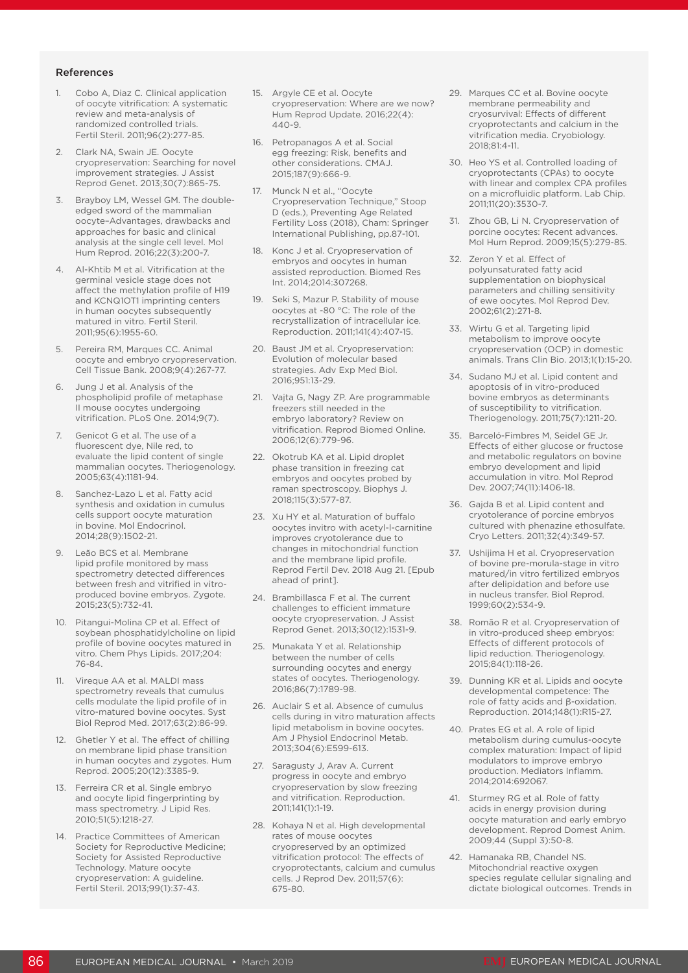#### References

- 1. Cobo A, Diaz C. Clinical application of oocyte vitrification: A systematic review and meta-analysis of randomized controlled trials. Fertil Steril. 2011;96(2):277-85.
- 2. Clark NA, Swain JE. Oocyte cryopreservation: Searching for novel improvement strategies. J Assist Reprod Genet. 2013;30(7):865-75.
- 3. Brayboy LM, Wessel GM. The doubleedged sword of the mammalian oocyte–Advantages, drawbacks and approaches for basic and clinical analysis at the single cell level. Mol Hum Reprod. 2016;22(3):200-7.
- 4. Al-Khtib M et al. Vitrification at the germinal vesicle stage does not affect the methylation profile of H19 and KCNQ1OT1 imprinting centers in human oocytes subsequently matured in vitro. Fertil Steril. 2011;95(6):1955-60.
- 5. Pereira RM, Marques CC. Animal oocyte and embryo cryopreservation. Cell Tissue Bank. 2008;9(4):267-77.
- 6. Jung J et al. Analysis of the phospholipid profile of metaphase II mouse oocytes undergoing vitrification. PLoS One. 2014;9(7).
- 7. Genicot G et al. The use of a fluorescent dye, Nile red, to evaluate the lipid content of single mammalian oocytes. Theriogenology. 2005;63(4):1181-94.
- 8. Sanchez-Lazo L et al. Fatty acid synthesis and oxidation in cumulus cells support oocyte maturation in bovine. Mol Endocrinol. 2014;28(9):1502-21.
- 9. Leão BCS et al. Membrane lipid profile monitored by mass spectrometry detected differences between fresh and vitrified in vitroproduced bovine embryos. Zygote. 2015;23(5):732-41.
- 10. Pitangui-Molina CP et al. Effect of soybean phosphatidylcholine on lipid profile of bovine oocytes matured in vitro. Chem Phys Lipids. 2017;204: 76-84.
- 11. Vireque AA et al. MALDI mass spectrometry reveals that cumulus cells modulate the lipid profile of in vitro-matured bovine oocytes. Syst Biol Reprod Med. 2017;63(2):86-99.
- 12. Ghetler Y et al. The effect of chilling on membrane lipid phase transition in human oocytes and zygotes. Hum Reprod. 2005;20(12):3385-9.
- 13. Ferreira CR et al. Single embryo and oocyte lipid fingerprinting by mass spectrometry. J Lipid Res. 2010;51(5):1218-27.
- 14. Practice Committees of American Society for Reproductive Medicine; Society for Assisted Reproductive Technology. Mature oocyte cryopreservation: A guideline. Fertil Steril. 2013;99(1):37-43.
- 15. Argyle CE et al. Oocyte cryopreservation: Where are we now? Hum Reprod Update. 2016;22(4): 440-9.
- 16. Petropanagos A et al. Social egg freezing: Risk, benefits and other considerations. CMAJ. 2015;187(9):666-9.
- 17. Munck N et al., "Oocyte Cryopreservation Technique," Stoop D (eds.), Preventing Age Related Fertility Loss (2018), Cham: Springer International Publishing, pp.87-101.
- 18. Konc J et al. Cryopreservation of embryos and oocytes in human assisted reproduction. Biomed Res Int. 2014;2014:307268.
- 19. Seki S, Mazur P. Stability of mouse oocytes at -80 °C: The role of the recrystallization of intracellular ice. Reproduction. 2011;141(4):407-15.
- 20. Baust JM et al. Cryopreservation: Evolution of molecular based strategies. Adv Exp Med Biol. 2016;951:13-29.
- 21. Vajta G, Nagy ZP. Are programmable freezers still needed in the embryo laboratory? Review on vitrification. Reprod Biomed Online. 2006;12(6):779-96.
- 22. Okotrub KA et al. Lipid droplet phase transition in freezing cat embryos and oocytes probed by raman spectroscopy. Biophys J. 2018;115(3):577-87.
- 23. Xu HY et al. Maturation of buffalo oocytes invitro with acetyl-l-carnitine improves cryotolerance due to changes in mitochondrial function and the membrane lipid profile. Reprod Fertil Dev. 2018 Aug 21. [Epub ahead of print].
- 24. Brambillasca F et al. The current challenges to efficient immature oocyte cryopreservation. J Assist Reprod Genet. 2013;30(12):1531-9.
- 25. Munakata Y et al. Relationship between the number of cells surrounding oocytes and energy states of oocytes. Theriogenology. 2016;86(7):1789-98.
- 26. Auclair S et al. Absence of cumulus cells during in vitro maturation affects lipid metabolism in bovine oocytes. Am J Physiol Endocrinol Metab. 2013;304(6):E599-613.
- 27. Saragusty J, Arav A. Current progress in oocyte and embryo cryopreservation by slow freezing and vitrification. Reproduction. 2011;141(1):1-19.
- 28. Kohaya N et al. High developmental rates of mouse oocytes cryopreserved by an optimized vitrification protocol: The effects of cryoprotectants, calcium and cumulus cells. J Reprod Dev. 2011;57(6): 675-80.
- 29. Marques CC et al. Bovine oocyte membrane permeability and cryosurvival: Effects of different cryoprotectants and calcium in the vitrification media. Cryobiology. 2018;81:4-11.
- 30. Heo YS et al. Controlled loading of cryoprotectants (CPAs) to oocyte with linear and complex CPA profiles on a microfluidic platform. Lab Chip. 2011;11(20):3530-7.
- 31. Zhou GB, Li N. Cryopreservation of porcine oocytes: Recent advances. Mol Hum Reprod. 2009;15(5):279-85.
- 32. Zeron Y et al. Effect of polyunsaturated fatty acid supplementation on biophysical parameters and chilling sensitivity of ewe oocytes. Mol Reprod Dev. 2002;61(2):271-8.
- 33. Wirtu G et al. Targeting lipid metabolism to improve oocyte cryopreservation (OCP) in domestic animals. Trans Clin Bio. 2013;1(1):15-20.
- 34. Sudano MJ et al. Lipid content and apoptosis of in vitro-produced bovine embryos as determinants of susceptibility to vitrification. Theriogenology. 2011;75(7):1211-20.
- 35. Barceló-Fimbres M, Seidel GE Jr. Effects of either glucose or fructose and metabolic regulators on bovine embryo development and lipid accumulation in vitro. Mol Reprod Dev. 2007;74(11):1406-18.
- 36. Gajda B et al. Lipid content and cryotolerance of porcine embryos cultured with phenazine ethosulfate. Cryo Letters. 2011;32(4):349-57.
- 37. Ushijima H et al. Cryopreservation of bovine pre-morula-stage in vitro matured/in vitro fertilized embryos after delipidation and before use in nucleus transfer. Biol Reprod. 1999;60(2):534-9.
- 38. Romão R et al. Cryopreservation of in vitro-produced sheep embryos: Effects of different protocols of lipid reduction. Theriogenology. 2015;84(1):118-26.
- 39. Dunning KR et al. Lipids and oocyte developmental competence: The role of fatty acids and β-oxidation. Reproduction. 2014;148(1):R15-27.
- 40. Prates EG et al. A role of lipid metabolism during cumulus-oocyte complex maturation: Impact of lipid modulators to improve embryo production. Mediators Inflamm. 2014;2014:692067.
- 41. Sturmey RG et al. Role of fatty acids in energy provision during oocyte maturation and early embryo development. Reprod Domest Anim. 2009;44 (Suppl 3):50-8.
- 42. Hamanaka RB, Chandel NS. Mitochondrial reactive oxygen species regulate cellular signaling and dictate biological outcomes. Trends in